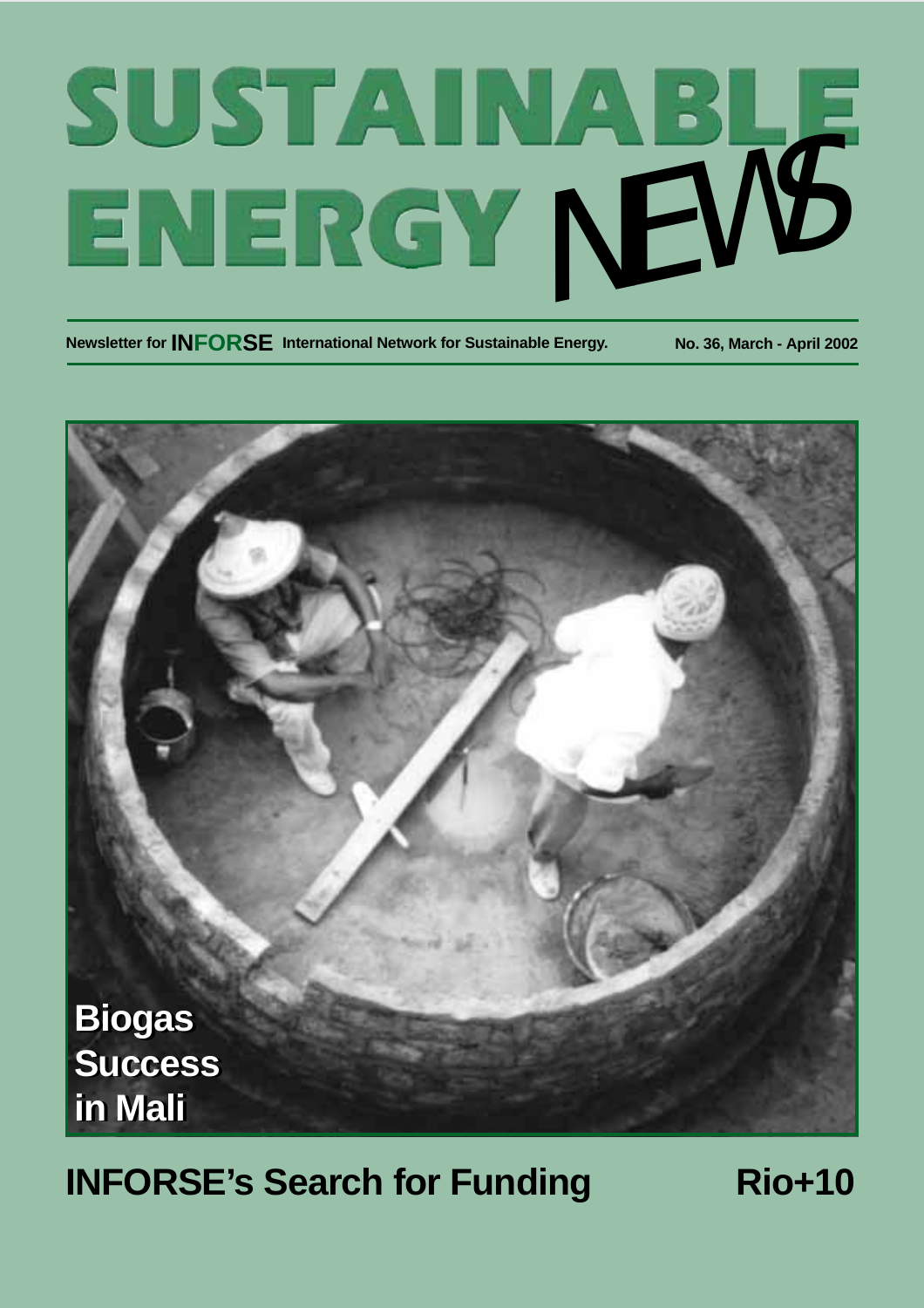# SUSTAINABLE<br>ENERGY NEWS

**Newsletter for INFORSE International Network for Sustainable Energy. No. 36, March - April 2002**



# **INFORSE's Search for Funding Rio+10**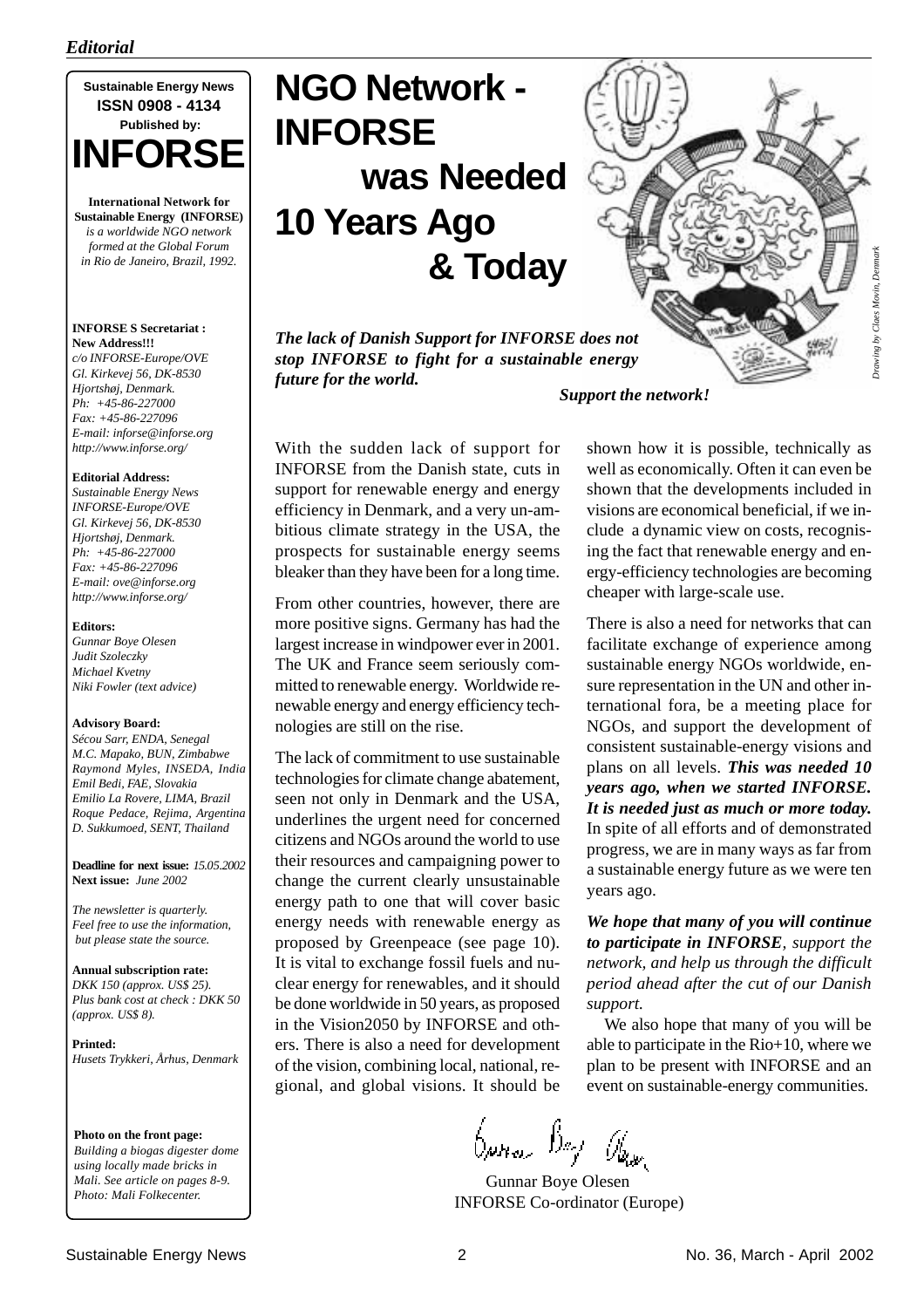

**International Network for Sustainable Energy (INFORSE)** *is a worldwide NGO network formed at the Global Forum in Rio de Janeiro, Brazil, 1992.*

#### **INFORSE S Secretariat : New Address!!!**

*c/o INFORSE-Europe/OVE Gl. Kirkevej 56, DK-8530 Hjortshøj, Denmark. Ph: +45-86-227000 Fax: +45-86-227096 E-mail: inforse@inforse.org http://www.inforse.org/*

#### **Editorial Address:**

*Sustainable Energy News INFORSE-Europe/OVE Gl. Kirkevej 56, DK-8530 Hjortshøj, Denmark. Ph: +45-86-227000 Fax: +45-86-227096 E-mail: ove@inforse.org http://www.inforse.org/*

#### **Editors:**

*Gunnar Boye Olesen Judit Szoleczky Michael Kvetny Niki Fowler (text advice)*

#### **Advisory Board:**

*Sécou Sarr, ENDA, Senegal M.C. Mapako, BUN, Zimbabwe Raymond Myles, INSEDA, India Emil Bedi, FAE, Slovakia Emilio La Rovere, LIMA, Brazil Roque Pedace, Rejima, Argentina D. Sukkumoed, SENT, Thailand*

**Deadline for next issue:** *15.05.2002* **Next issue:** *June 2002*

*The newsletter is quarterly. Feel free to use the information, but please state the source.*

**Annual subscription rate:** *DKK 150 (approx. US\$ 25). Plus bank cost at check : DKK 50 (approx. US\$ 8).*

**Printed:** *Husets Trykkeri, Århus, Denmark*

**Photo on the front page:** *Building a biogas digester dome using locally made bricks in Mali. See article on pages 8-9. Photo: Mali Folkecenter.*

# **NGO Network - INFORSE was Needed 10 Years Ago & Today**

*The lack of Danish Support for INFORSE does not stop INFORSE to fight for a sustainable energy future for the world.*

*Drawing by Claes Movin, Denmark* Trawing by Claes Movin, De *Support the network!*

With the sudden lack of support for INFORSE from the Danish state, cuts in support for renewable energy and energy efficiency in Denmark, and a very un-ambitious climate strategy in the USA, the prospects for sustainable energy seems bleaker than they have been for a long time.

From other countries, however, there are more positive signs. Germany has had the largest increase in windpower ever in 2001. The UK and France seem seriously committed to renewable energy. Worldwide renewable energy and energy efficiency technologies are still on the rise.

The lack of commitment to use sustainable technologies for climate change abatement, seen not only in Denmark and the USA, underlines the urgent need for concerned citizens and NGOs around the world to use their resources and campaigning power to change the current clearly unsustainable energy path to one that will cover basic energy needs with renewable energy as proposed by Greenpeace (see page 10). It is vital to exchange fossil fuels and nuclear energy for renewables, and it should be done worldwide in 50 years, as proposed in the Vision2050 by INFORSE and others. There is also a need for development of the vision, combining local, national, regional, and global visions. It should be

shown how it is possible, technically as well as economically. Often it can even be shown that the developments included in visions are economical beneficial, if we include a dynamic view on costs, recognising the fact that renewable energy and energy-efficiency technologies are becoming cheaper with large-scale use.

There is also a need for networks that can facilitate exchange of experience among sustainable energy NGOs worldwide, ensure representation in the UN and other international fora, be a meeting place for NGOs, and support the development of consistent sustainable-energy visions and plans on all levels. *This was needed 10 years ago, when we started INFORSE. It is needed just as much or more today.* In spite of all efforts and of demonstrated progress, we are in many ways as far from a sustainable energy future as we were ten years ago.

*We hope that many of you will continue to participate in INFORSE, support the network, and help us through the difficult period ahead after the cut of our Danish support.*

We also hope that many of you will be able to participate in the Rio+10, where we plan to be present with INFORSE and an event on sustainable-energy communities.

bpna Bej Ibar

 Gunnar Boye Olesen INFORSE Co-ordinator (Europe)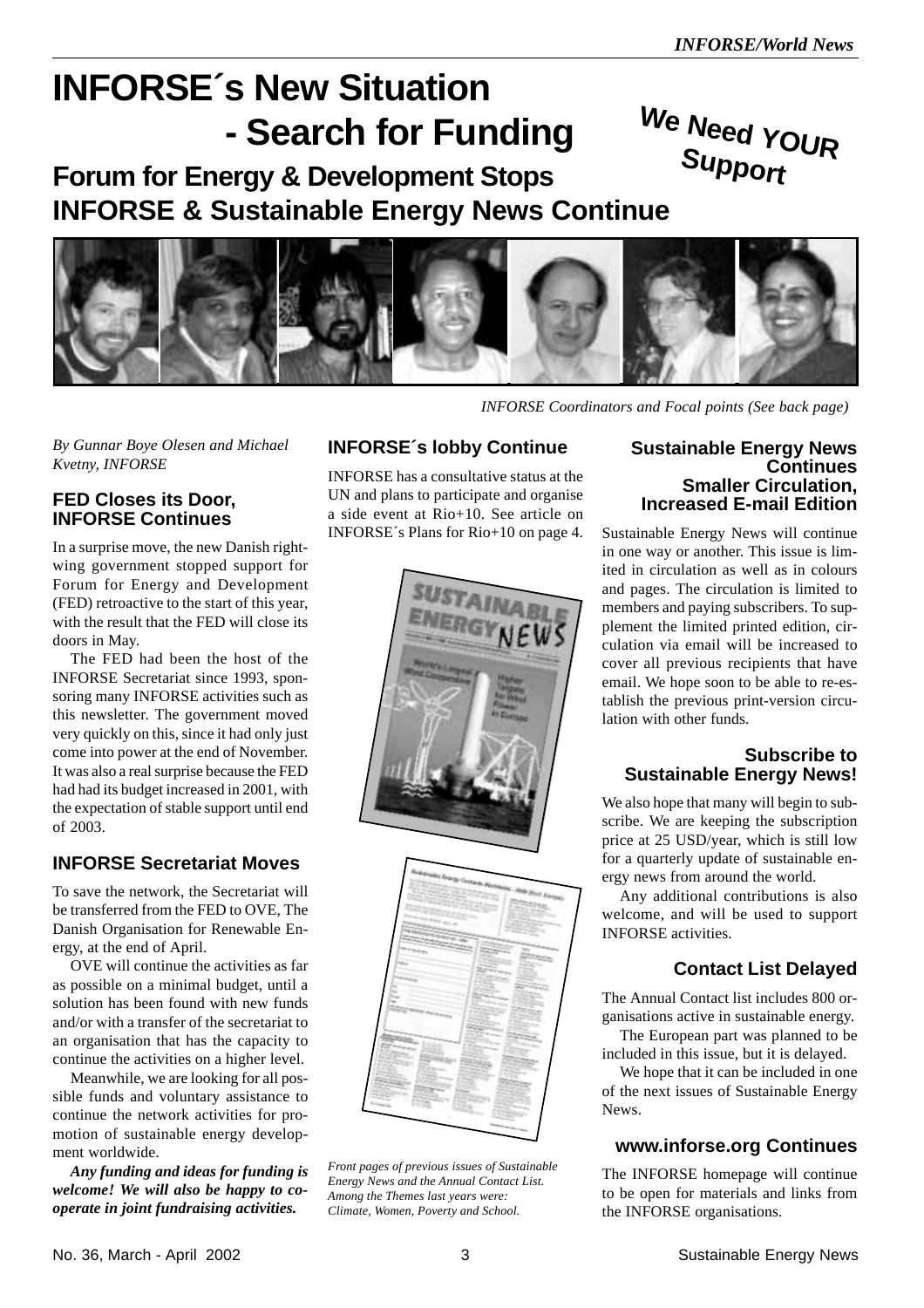**Support**

# **INFORSE´s New Situation - Search for Funding**

# **We Need YOUR Forum for Energy & Development Stops INFORSE & Sustainable Energy News Continue**



*By Gunnar Boye Olesen and Michael Kvetny, INFORSE*

#### **FED Closes its Door, INFORSE Continues**

In a surprise move, the new Danish rightwing government stopped support for Forum for Energy and Development (FED) retroactive to the start of this year, with the result that the FED will close its doors in May.

The FED had been the host of the INFORSE Secretariat since 1993, sponsoring many INFORSE activities such as this newsletter. The government moved very quickly on this, since it had only just come into power at the end of November. It was also a real surprise because the FED had had its budget increased in 2001, with the expectation of stable support until end of 2003.

#### **INFORSE Secretariat Moves**

To save the network, the Secretariat will be transferred from the FED to OVE, The Danish Organisation for Renewable Energy, at the end of April.

OVE will continue the activities as far as possible on a minimal budget, until a solution has been found with new funds and/or with a transfer of the secretariat to an organisation that has the capacity to continue the activities on a higher level.

Meanwhile, we are looking for all possible funds and voluntary assistance to continue the network activities for promotion of sustainable energy development worldwide.

*Any funding and ideas for funding is welcome! We will also be happy to cooperate in joint fundraising activities.*

#### **INFORSE´s lobby Continue**

INFORSE has a consultative status at the UN and plans to participate and organise a side event at Rio+10. See article on INFORSE´s Plans for Rio+10 on page 4.



*Front pages of previous issues of Sustainable Energy News and the Annual Contact List. Among the Themes last years were: Climate, Women, Poverty and School.*

#### **Sustainable Energy News Continues Smaller Circulation, Increased E-mail Edition**

*INFORSE Coordinators and Focal points (See back page)*

Sustainable Energy News will continue in one way or another. This issue is limited in circulation as well as in colours and pages. The circulation is limited to members and paying subscribers. To supplement the limited printed edition, circulation via email will be increased to cover all previous recipients that have email. We hope soon to be able to re-establish the previous print-version circulation with other funds.

#### **Subscribe to Sustainable Energy News!**

We also hope that many will begin to subscribe. We are keeping the subscription price at 25 USD/year, which is still low for a quarterly update of sustainable energy news from around the world.

Any additional contributions is also welcome, and will be used to support INFORSE activities.

#### **Contact List Delayed**

The Annual Contact list includes 800 organisations active in sustainable energy.

The European part was planned to be included in this issue, but it is delayed.

We hope that it can be included in one of the next issues of Sustainable Energy News.

#### **www.inforse.org Continues**

The INFORSE homepage will continue to be open for materials and links from the INFORSE organisations.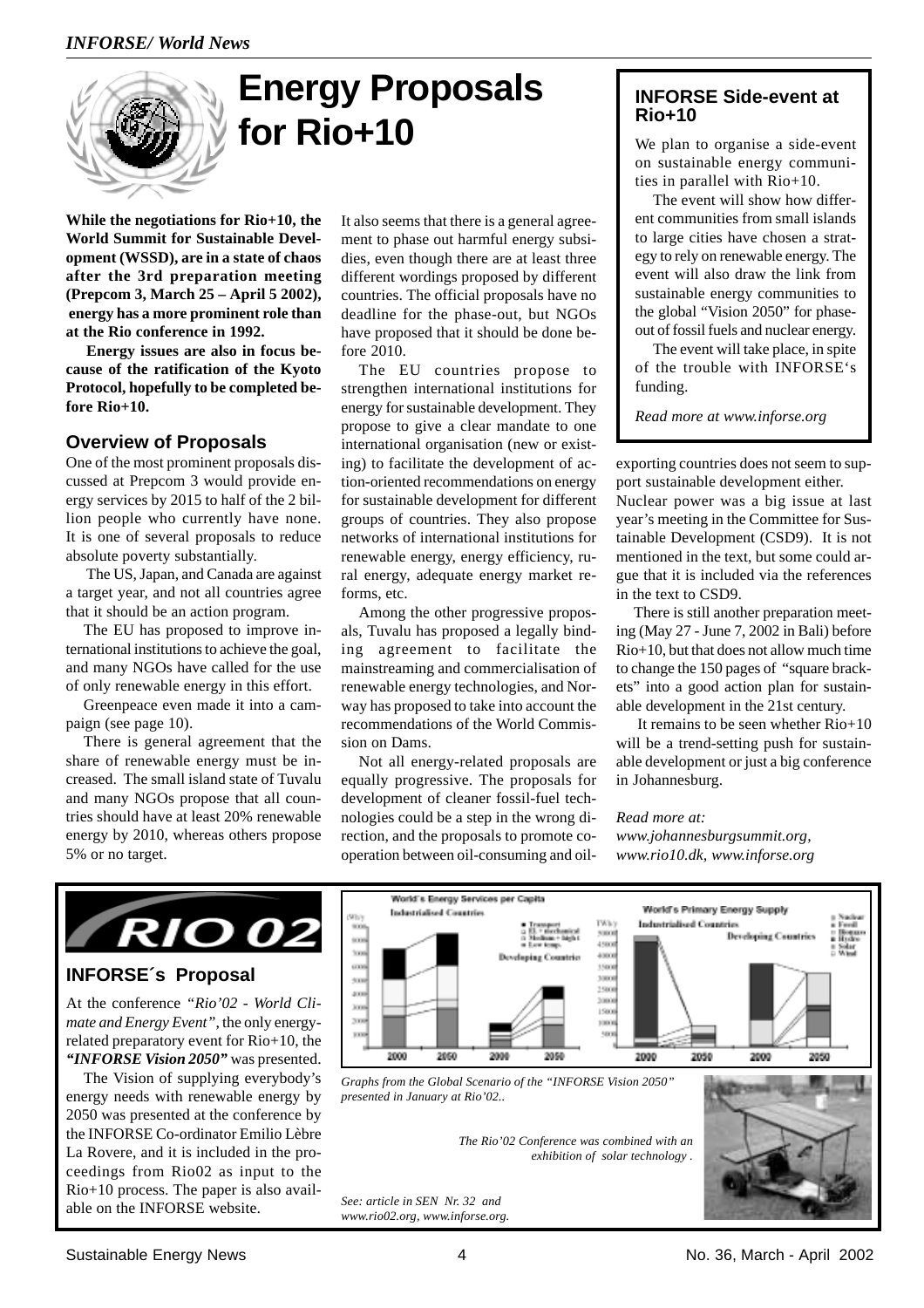

# **Energy Proposals for Rio+10**

**While the negotiations for Rio+10, the World Summit for Sustainable Development (WSSD), are in a state of chaos after the 3rd preparation meeting (Prepcom 3, March 25 – April 5 2002), energy has a more prominent role than at the Rio conference in 1992.**

 **Energy issues are also in focus because of the ratification of the Kyoto Protocol, hopefully to be completed before Rio+10.**

#### **Overview of Proposals**

One of the most prominent proposals discussed at Prepcom 3 would provide energy services by 2015 to half of the 2 billion people who currently have none. It is one of several proposals to reduce absolute poverty substantially.

 The US, Japan, and Canada are against a target year, and not all countries agree that it should be an action program.

The EU has proposed to improve international institutions to achieve the goal, and many NGOs have called for the use of only renewable energy in this effort.

Greenpeace even made it into a campaign (see page 10).

There is general agreement that the share of renewable energy must be increased. The small island state of Tuvalu and many NGOs propose that all countries should have at least 20% renewable energy by 2010, whereas others propose 5% or no target.

It also seems that there is a general agreement to phase out harmful energy subsidies, even though there are at least three different wordings proposed by different countries. The official proposals have no deadline for the phase-out, but NGOs have proposed that it should be done before 2010.

The EU countries propose to strengthen international institutions for energy for sustainable development. They propose to give a clear mandate to one international organisation (new or existing) to facilitate the development of action-oriented recommendations on energy for sustainable development for different groups of countries. They also propose networks of international institutions for renewable energy, energy efficiency, rural energy, adequate energy market reforms, etc.

Among the other progressive proposals, Tuvalu has proposed a legally binding agreement to facilitate the mainstreaming and commercialisation of renewable energy technologies, and Norway has proposed to take into account the recommendations of the World Commission on Dams.

Not all energy-related proposals are equally progressive. The proposals for development of cleaner fossil-fuel technologies could be a step in the wrong direction, and the proposals to promote cooperation between oil-consuming and oil-

#### **INFORSE Side-event at Rio+10**

We plan to organise a side-event on sustainable energy communities in parallel with Rio+10.

The event will show how different communities from small islands to large cities have chosen a strategy to rely on renewable energy. The event will also draw the link from sustainable energy communities to the global "Vision 2050" for phaseout of fossil fuels and nuclear energy.

The event will take place, in spite of the trouble with INFORSE's funding.

*Read more at www.inforse.org*

exporting countries does not seem to support sustainable development either.

Nuclear power was a big issue at last year's meeting in the Committee for Sustainable Development (CSD9). It is not mentioned in the text, but some could argue that it is included via the references in the text to CSD9.

There is still another preparation meeting (May 27 - June 7, 2002 in Bali) before Rio+10, but that does not allow much time to change the 150 pages of "square brackets" into a good action plan for sustainable development in the 21st century.

 It remains to be seen whether Rio+10 will be a trend-setting push for sustainable development or just a big conference in Johannesburg.

*Read more at: www.johannesburgsummit.org, www.rio10.dk, www.inforse.org*



#### **INFORSE´s Proposal**

At the conference *"Rio'02 - World Climate and Energy Event"*, the only energyrelated preparatory event for Rio+10, the *"INFORSE Vision 2050"* was presented.

The Vision of supplying everybody's energy needs with renewable energy by 2050 was presented at the conference by the INFORSE Co-ordinator Emilio Lèbre La Rovere, and it is included in the proceedings from Rio02 as input to the Rio+10 process. The paper is also available on the INFORSE website.



*Graphs from the Global Scenario of the "INFORSE Vision 2050" presented in January at Rio'02..*

> *The Rio'02 Conference was combined with an exhibition of solar technology .*

*See: article in SEN Nr. 32 and www.rio02.org, www.inforse.org.*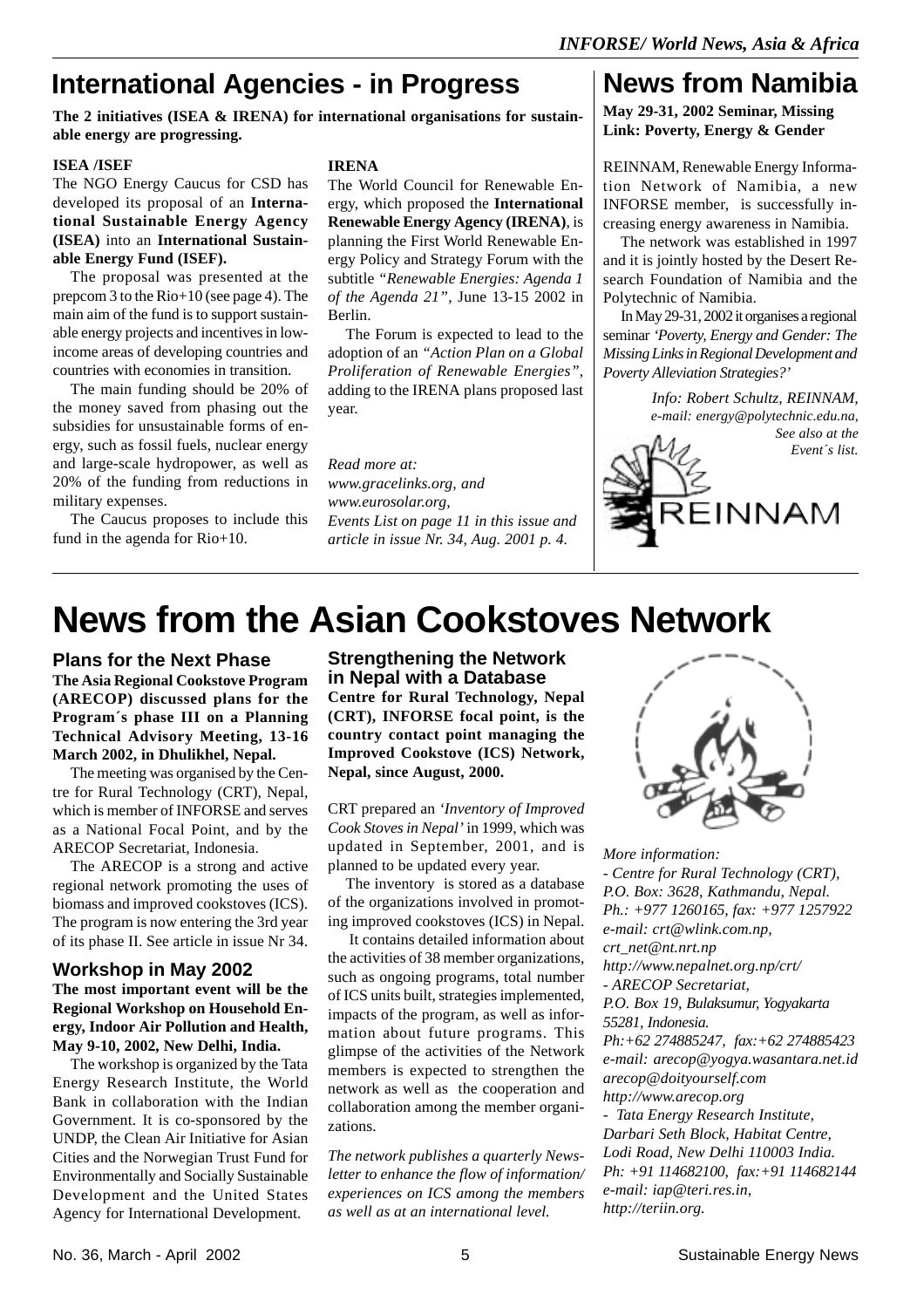## **International Agencies - in Progress**

**The 2 initiatives (ISEA & IRENA) for international organisations for sustainable energy are progressing.**

#### **ISEA /ISEF**

The NGO Energy Caucus for CSD has developed its proposal of an **International Sustainable Energy Agency (ISEA)** into an **International Sustainable Energy Fund (ISEF).**

The proposal was presented at the prepcom 3 to the Rio+10 (see page 4). The main aim of the fund is to support sustainable energy projects and incentives in lowincome areas of developing countries and countries with economies in transition.

The main funding should be 20% of the money saved from phasing out the subsidies for unsustainable forms of energy, such as fossil fuels, nuclear energy and large-scale hydropower, as well as 20% of the funding from reductions in military expenses.

The Caucus proposes to include this fund in the agenda for Rio+10.

#### **IRENA**

The World Council for Renewable Energy, which proposed the **International Renewable Energy Agency (IRENA)**, is planning the First World Renewable Energy Policy and Strategy Forum with the subtitle *"Renewable Energies: Agenda 1 of the Agenda 21"*, June 13-15 2002 in Berlin.

The Forum is expected to lead to the adoption of an *"Action Plan on a Global Proliferation of Renewable Energies"*, adding to the IRENA plans proposed last year.

*Read more at: www.gracelinks.org, and www.eurosolar.org, Events List on page 11 in this issue and article in issue Nr. 34, Aug. 2001 p. 4.*

## **News from Namibia**

**May 29-31, 2002 Seminar, Missing Link: Poverty, Energy & Gender**

REINNAM, Renewable Energy Information Network of Namibia, a new INFORSE member, is successfully increasing energy awareness in Namibia.

The network was established in 1997 and it is jointly hosted by the Desert Research Foundation of Namibia and the Polytechnic of Namibia.

In May 29-31, 2002 it organises a regional seminar *'Poverty, Energy and Gender: The Missing Links in Regional Development and Poverty Alleviation Strategies?'*

> *Info: Robert Schultz, REINNAM, e-mail: energy@polytechnic.edu.na, See also at the*



# **News from the Asian Cookstoves Network**

**Plans for the Next Phase The Asia Regional Cookstove Program (ARECOP) discussed plans for the Program´s phase III on a Planning Technical Advisory Meeting, 13-16 March 2002, in Dhulikhel, Nepal.**

The meeting was organised by the Centre for Rural Technology (CRT), Nepal, which is member of INFORSE and serves as a National Focal Point, and by the ARECOP Secretariat, Indonesia.

The ARECOP is a strong and active regional network promoting the uses of biomass and improved cookstoves (ICS). The program is now entering the 3rd year of its phase II. See article in issue Nr 34.

#### **Workshop in May 2002**

**The most important event will be the Regional Workshop on Household Energy, Indoor Air Pollution and Health, May 9-10, 2002, New Delhi, India.**

The workshop is organized by the Tata Energy Research Institute, the World Bank in collaboration with the Indian Government. It is co-sponsored by the UNDP, the Clean Air Initiative for Asian Cities and the Norwegian Trust Fund for Environmentally and Socially Sustainable Development and the United States Agency for International Development.

**Strengthening the Network in Nepal with a Database Centre for Rural Technology, Nepal**

**(CRT), INFORSE focal point, is the country contact point managing the Improved Cookstove (ICS) Network, Nepal, since August, 2000.**

CRT prepared an *'Inventory of Improved Cook Stoves in Nepal'* in 1999, which was updated in September, 2001, and is planned to be updated every year.

The inventory is stored as a database of the organizations involved in promoting improved cookstoves (ICS) in Nepal.

 It contains detailed information about the activities of 38 member organizations, such as ongoing programs, total number of ICS units built, strategies implemented, impacts of the program, as well as information about future programs. This glimpse of the activities of the Network members is expected to strengthen the network as well as the cooperation and collaboration among the member organizations.

*The network publishes a quarterly Newsletter to enhance the flow of information/ experiences on ICS among the members as well as at an international level.*



*More information: - Centre for Rural Technology (CRT), P.O. Box: 3628, Kathmandu, Nepal. Ph.: +977 1260165, fax: +977 1257922 e-mail: crt@wlink.com.np, crt\_net@nt.nrt.np http://www.nepalnet.org.np/crt/ - ARECOP Secretariat, P.O. Box 19, Bulaksumur, Yogyakarta 55281, Indonesia. Ph:+62 274885247, fax:+62 274885423 e-mail: arecop@yogya.wasantara.net.id arecop@doityourself.com http://www.arecop.org - Tata Energy Research Institute, Darbari Seth Block, Habitat Centre, Lodi Road, New Delhi 110003 India. Ph: +91 114682100, fax:+91 114682144 e-mail: iap@teri.res.in,*

*http://teriin.org.*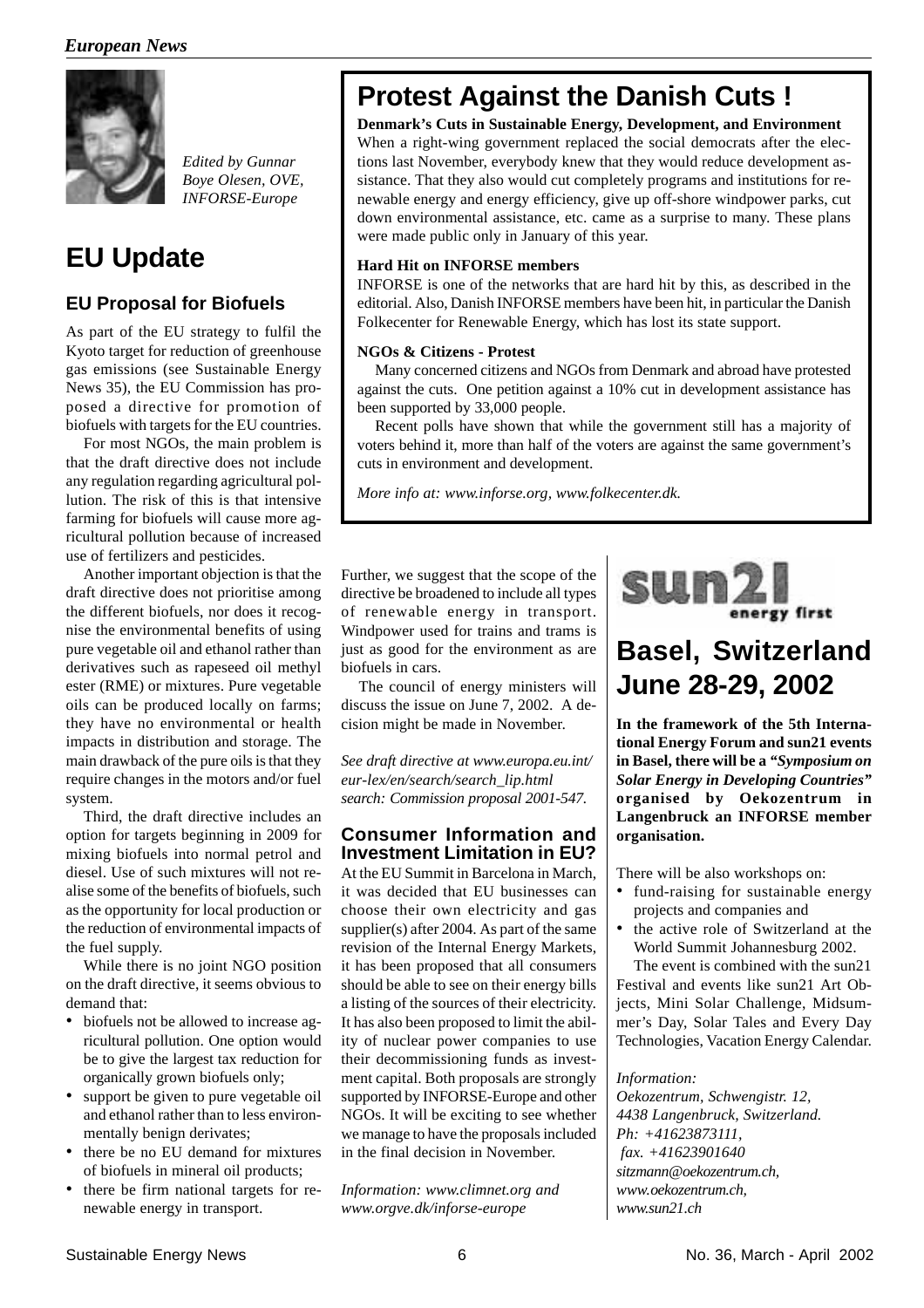

*Edited by Gunnar Boye Olesen, OVE, INFORSE-Europe*

## **EU Update**

#### **EU Proposal for Biofuels**

As part of the EU strategy to fulfil the Kyoto target for reduction of greenhouse gas emissions (see Sustainable Energy News 35), the EU Commission has proposed a directive for promotion of biofuels with targets for the EU countries.

For most NGOs, the main problem is that the draft directive does not include any regulation regarding agricultural pollution. The risk of this is that intensive farming for biofuels will cause more agricultural pollution because of increased use of fertilizers and pesticides.

Another important objection is that the draft directive does not prioritise among the different biofuels, nor does it recognise the environmental benefits of using pure vegetable oil and ethanol rather than derivatives such as rapeseed oil methyl ester (RME) or mixtures. Pure vegetable oils can be produced locally on farms; they have no environmental or health impacts in distribution and storage. The main drawback of the pure oils is that they require changes in the motors and/or fuel system.

Third, the draft directive includes an option for targets beginning in 2009 for mixing biofuels into normal petrol and diesel. Use of such mixtures will not realise some of the benefits of biofuels, such as the opportunity for local production or the reduction of environmental impacts of the fuel supply.

While there is no joint NGO position on the draft directive, it seems obvious to demand that:

- biofuels not be allowed to increase agricultural pollution. One option would be to give the largest tax reduction for organically grown biofuels only;
- support be given to pure vegetable oil and ethanol rather than to less environmentally benign derivates;
- there be no EU demand for mixtures of biofuels in mineral oil products;
- there be firm national targets for renewable energy in transport.

## **Protest Against the Danish Cuts !**

**Denmark's Cuts in Sustainable Energy, Development, and Environment**

When a right-wing government replaced the social democrats after the elections last November, everybody knew that they would reduce development assistance. That they also would cut completely programs and institutions for renewable energy and energy efficiency, give up off-shore windpower parks, cut down environmental assistance, etc. came as a surprise to many. These plans were made public only in January of this year.

#### **Hard Hit on INFORSE members**

INFORSE is one of the networks that are hard hit by this, as described in the editorial. Also, Danish INFORSE members have been hit, in particular the Danish Folkecenter for Renewable Energy, which has lost its state support.

#### **NGOs & Citizens - Protest**

Many concerned citizens and NGOs from Denmark and abroad have protested against the cuts. One petition against a 10% cut in development assistance has been supported by 33,000 people.

Recent polls have shown that while the government still has a majority of voters behind it, more than half of the voters are against the same government's cuts in environment and development.

*More info at: www.inforse.org, www.folkecenter.dk.*

Further, we suggest that the scope of the directive be broadened to include all types of renewable energy in transport. Windpower used for trains and trams is just as good for the environment as are biofuels in cars.

The council of energy ministers will discuss the issue on June 7, 2002. A decision might be made in November.

*See draft directive at www.europa.eu.int/ eur-lex/en/search/search\_lip.html search: Commission proposal 2001-547.*

#### **Consumer Information and Investment Limitation in EU?**

At the EU Summit in Barcelona in March, it was decided that EU businesses can choose their own electricity and gas supplier(s) after 2004. As part of the same revision of the Internal Energy Markets, it has been proposed that all consumers should be able to see on their energy bills a listing of the sources of their electricity. It has also been proposed to limit the ability of nuclear power companies to use their decommissioning funds as investment capital. Both proposals are strongly supported by INFORSE-Europe and other NGOs. It will be exciting to see whether we manage to have the proposals included in the final decision in November.

*Information: www.climnet.org and www.orgve.dk/inforse-europe*



## **Basel, Switzerland June 28-29, 2002**

**In the framework of the 5th International Energy Forum and sun21 events in Basel, there will be a** *"Symposium on Solar Energy in Developing Countries"* **organised by Oekozentrum in Langenbruck an INFORSE member organisation.**

There will be also workshops on:

- fund-raising for sustainable energy projects and companies and
- the active role of Switzerland at the World Summit Johannesburg 2002.

The event is combined with the sun21 Festival and events like sun21 Art Objects, Mini Solar Challenge, Midsummer's Day, Solar Tales and Every Day Technologies, Vacation Energy Calendar.

#### *Information:*

*Oekozentrum, Schwengistr. 12, 4438 Langenbruck, Switzerland. Ph: +41623873111, fax. +41623901640 sitzmann@oekozentrum.ch, www.oekozentrum.ch, www.sun21.ch*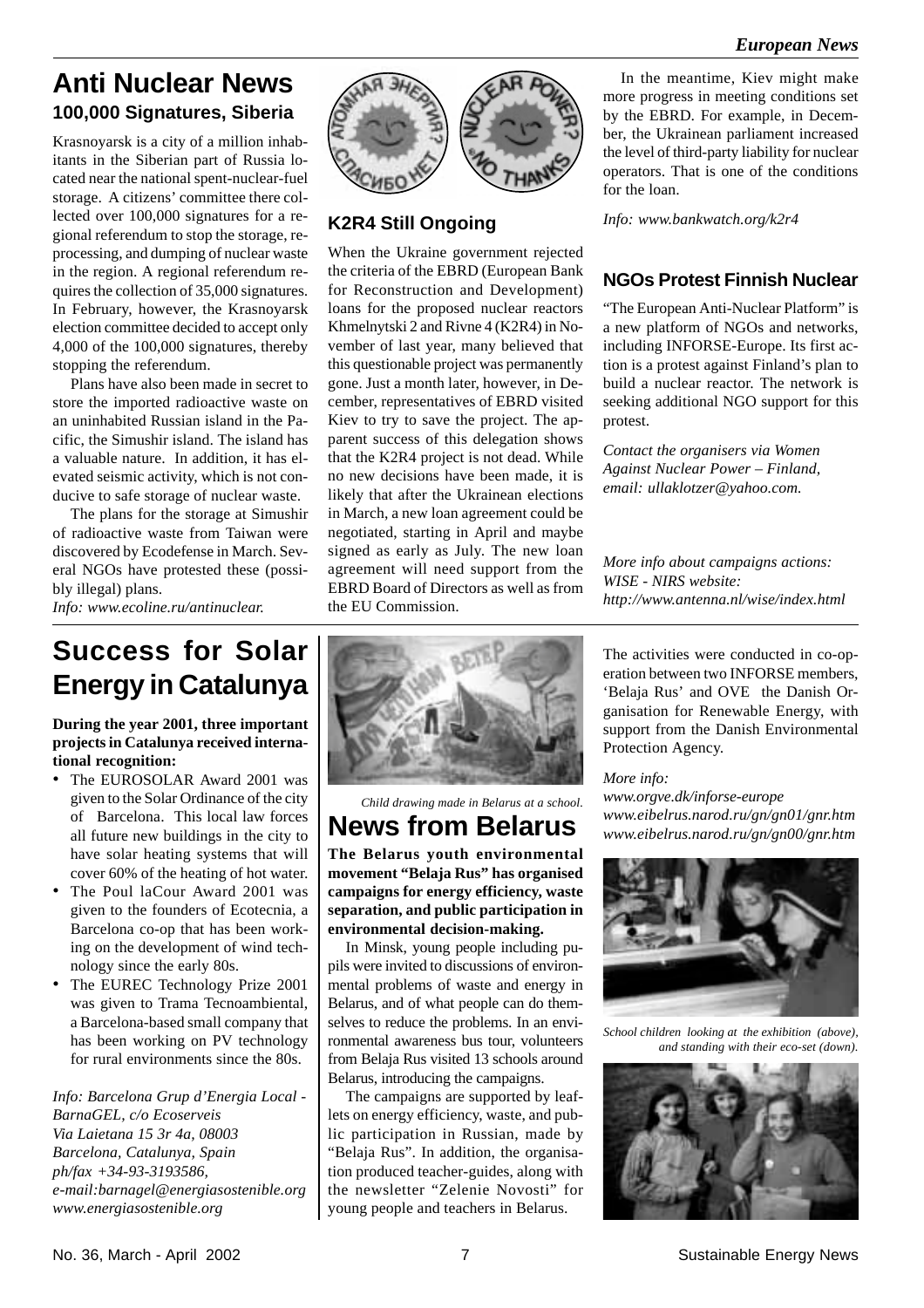### **100,000 Signatures, Siberia Anti Nuclear News**

Krasnoyarsk is a city of a million inhabitants in the Siberian part of Russia located near the national spent-nuclear-fuel storage. A citizens' committee there collected over 100,000 signatures for a regional referendum to stop the storage, reprocessing, and dumping of nuclear waste in the region. A regional referendum requires the collection of 35,000 signatures. In February, however, the Krasnoyarsk election committee decided to accept only 4,000 of the 100,000 signatures, thereby stopping the referendum.

Plans have also been made in secret to store the imported radioactive waste on an uninhabited Russian island in the Pacific, the Simushir island. The island has a valuable nature. In addition, it has elevated seismic activity, which is not conducive to safe storage of nuclear waste.

The plans for the storage at Simushir of radioactive waste from Taiwan were discovered by Ecodefense in March. Several NGOs have protested these (possibly illegal) plans.

*Info: www.ecoline.ru/antinuclear.*

#### **K2R4 Still Ongoing**

When the Ukraine government rejected the criteria of the EBRD (European Bank for Reconstruction and Development) loans for the proposed nuclear reactors Khmelnytski 2 and Rivne 4 (K2R4) in November of last year, many believed that this questionable project was permanently gone. Just a month later, however, in December, representatives of EBRD visited Kiev to try to save the project. The apparent success of this delegation shows that the K2R4 project is not dead. While no new decisions have been made, it is likely that after the Ukrainean elections in March, a new loan agreement could be negotiated, starting in April and maybe signed as early as July. The new loan agreement will need support from the EBRD Board of Directors as well as from the EU Commission.

In the meantime, Kiev might make more progress in meeting conditions set by the EBRD. For example, in December, the Ukrainean parliament increased the level of third-party liability for nuclear operators. That is one of the conditions for the loan.

*Info: www.bankwatch.org/k2r4*

#### **NGOs Protest Finnish Nuclear**

"The European Anti-Nuclear Platform" is a new platform of NGOs and networks, including INFORSE-Europe. Its first action is a protest against Finland's plan to build a nuclear reactor. The network is seeking additional NGO support for this protest.

*Contact the organisers via Women Against Nuclear Power – Finland, email: ullaklotzer@yahoo.com.*

*More info about campaigns actions: WISE - NIRS website: http://www.antenna.nl/wise/index.html*

**Success for Solar Energy in Catalunya**

**During the year 2001, three important projects in Catalunya received international recognition:**

- The EUROSOLAR Award 2001 was given to the Solar Ordinance of the city of Barcelona. This local law forces all future new buildings in the city to have solar heating systems that will cover 60% of the heating of hot water.
- The Poul laCour Award 2001 was given to the founders of Ecotecnia, a Barcelona co-op that has been working on the development of wind technology since the early 80s.
- The EUREC Technology Prize 2001 was given to Trama Tecnoambiental, a Barcelona-based small company that has been working on PV technology for rural environments since the 80s.

*Info: Barcelona Grup d'Energia Local - BarnaGEL, c/o Ecoserveis Via Laietana 15 3r 4a, 08003 Barcelona, Catalunya, Spain ph/fax +34-93-3193586, e-mail:barnagel@energiasostenible.org www.energiasostenible.org*



*Child drawing made in Belarus at a school.*

## **News from Belarus**

**The Belarus youth environmental movement "Belaja Rus" has organised campaigns for energy efficiency, waste separation, and public participation in environmental decision-making.**

In Minsk, young people including pupils were invited to discussions of environmental problems of waste and energy in Belarus, and of what people can do themselves to reduce the problems. In an environmental awareness bus tour, volunteers from Belaja Rus visited 13 schools around Belarus, introducing the campaigns.

The campaigns are supported by leaflets on energy efficiency, waste, and public participation in Russian, made by "Belaja Rus". In addition, the organisation produced teacher-guides, along with the newsletter "Zelenie Novosti" for young people and teachers in Belarus.

The activities were conducted in co-operation between two INFORSE members, 'Belaja Rus' and OVE the Danish Organisation for Renewable Energy, with support from the Danish Environmental Protection Agency.

*More info:*

*www.orgve.dk/inforse-europe www.eibelrus.narod.ru/gn/gn01/gnr.htm www.eibelrus.narod.ru/gn/gn00/gnr.htm*



*School children looking at the exhibition (above), and standing with their eco-set (down).*

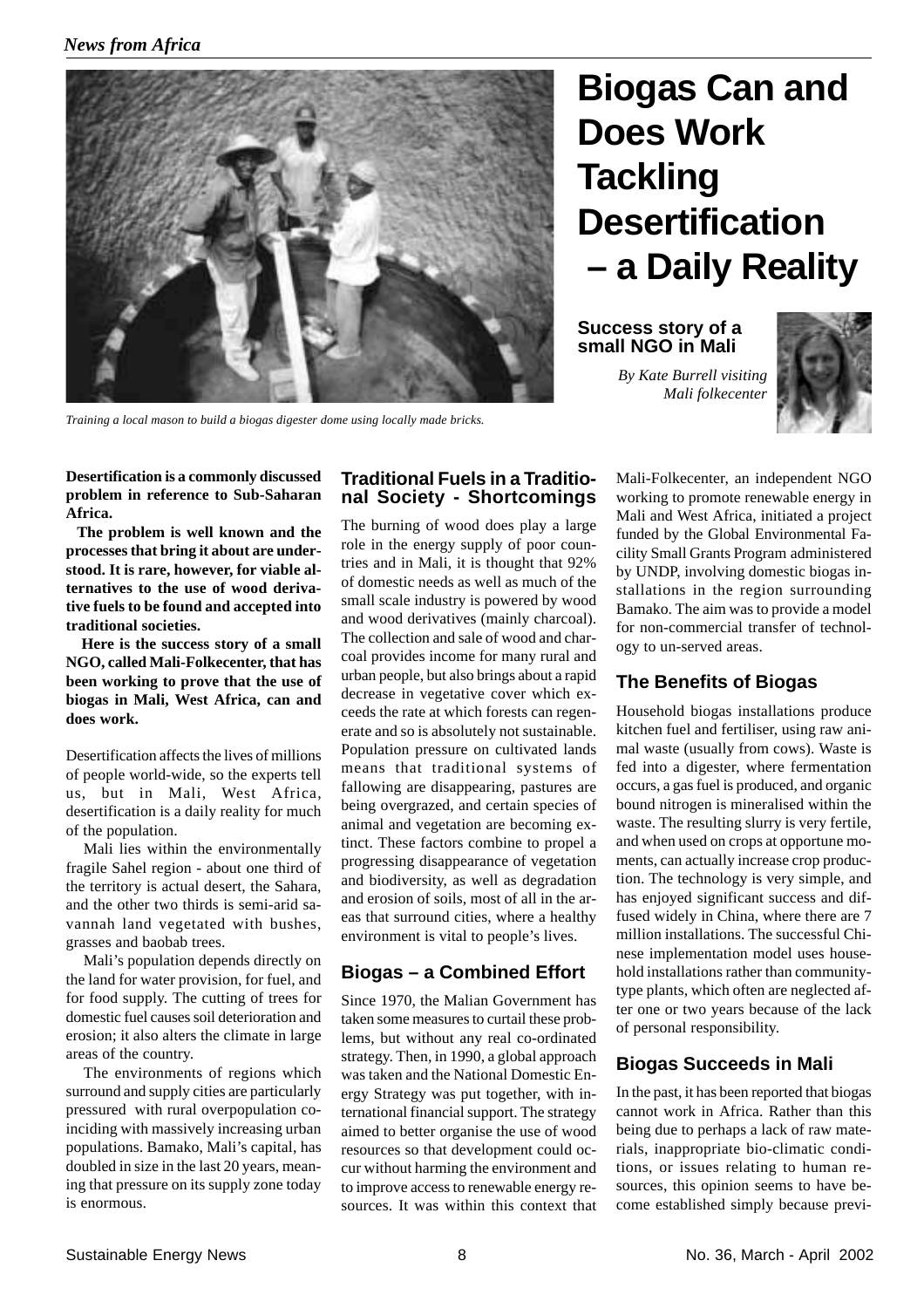

*Training a local mason to build a biogas digester dome using locally made bricks.*

# **Biogas Can and Does Work Tackling Desertification – a Daily Reality**

**Success story of a small NGO in Mali**

> *By Kate Burrell visiting Mali folkecenter*



**Desertification is a commonly discussed problem in reference to Sub-Saharan Africa.**

 **The problem is well known and the processes that bring it about are understood. It is rare, however, for viable alternatives to the use of wood derivative fuels to be found and accepted into traditional societies.**

 **Here is the success story of a small NGO, called Mali-Folkecenter, that has been working to prove that the use of biogas in Mali, West Africa, can and does work.**

Desertification affects the lives of millions of people world-wide, so the experts tell us, but in Mali, West Africa, desertification is a daily reality for much of the population.

Mali lies within the environmentally fragile Sahel region - about one third of the territory is actual desert, the Sahara, and the other two thirds is semi-arid savannah land vegetated with bushes, grasses and baobab trees.

Mali's population depends directly on the land for water provision, for fuel, and for food supply. The cutting of trees for domestic fuel causes soil deterioration and erosion; it also alters the climate in large areas of the country.

The environments of regions which surround and supply cities are particularly pressured with rural overpopulation coinciding with massively increasing urban populations. Bamako, Mali's capital, has doubled in size in the last 20 years, meaning that pressure on its supply zone today is enormous.

#### **Traditional Fuels in a Traditional Society - Shortcomings**

The burning of wood does play a large role in the energy supply of poor countries and in Mali, it is thought that 92% of domestic needs as well as much of the small scale industry is powered by wood and wood derivatives (mainly charcoal). The collection and sale of wood and charcoal provides income for many rural and urban people, but also brings about a rapid decrease in vegetative cover which exceeds the rate at which forests can regenerate and so is absolutely not sustainable. Population pressure on cultivated lands means that traditional systems of fallowing are disappearing, pastures are being overgrazed, and certain species of animal and vegetation are becoming extinct. These factors combine to propel a progressing disappearance of vegetation and biodiversity, as well as degradation and erosion of soils, most of all in the areas that surround cities, where a healthy environment is vital to people's lives.

#### **Biogas – a Combined Effort**

Since 1970, the Malian Government has taken some measures to curtail these problems, but without any real co-ordinated strategy. Then, in 1990, a global approach was taken and the National Domestic Energy Strategy was put together, with international financial support. The strategy aimed to better organise the use of wood resources so that development could occur without harming the environment and to improve access to renewable energy resources. It was within this context that Mali-Folkecenter, an independent NGO working to promote renewable energy in Mali and West Africa, initiated a project funded by the Global Environmental Facility Small Grants Program administered by UNDP, involving domestic biogas installations in the region surrounding Bamako. The aim was to provide a model for non-commercial transfer of technology to un-served areas.

#### **The Benefits of Biogas**

Household biogas installations produce kitchen fuel and fertiliser, using raw animal waste (usually from cows). Waste is fed into a digester, where fermentation occurs, a gas fuel is produced, and organic bound nitrogen is mineralised within the waste. The resulting slurry is very fertile, and when used on crops at opportune moments, can actually increase crop production. The technology is very simple, and has enjoyed significant success and diffused widely in China, where there are 7 million installations. The successful Chinese implementation model uses household installations rather than communitytype plants, which often are neglected after one or two years because of the lack of personal responsibility.

#### **Biogas Succeeds in Mali**

In the past, it has been reported that biogas cannot work in Africa. Rather than this being due to perhaps a lack of raw materials, inappropriate bio-climatic conditions, or issues relating to human resources, this opinion seems to have become established simply because previ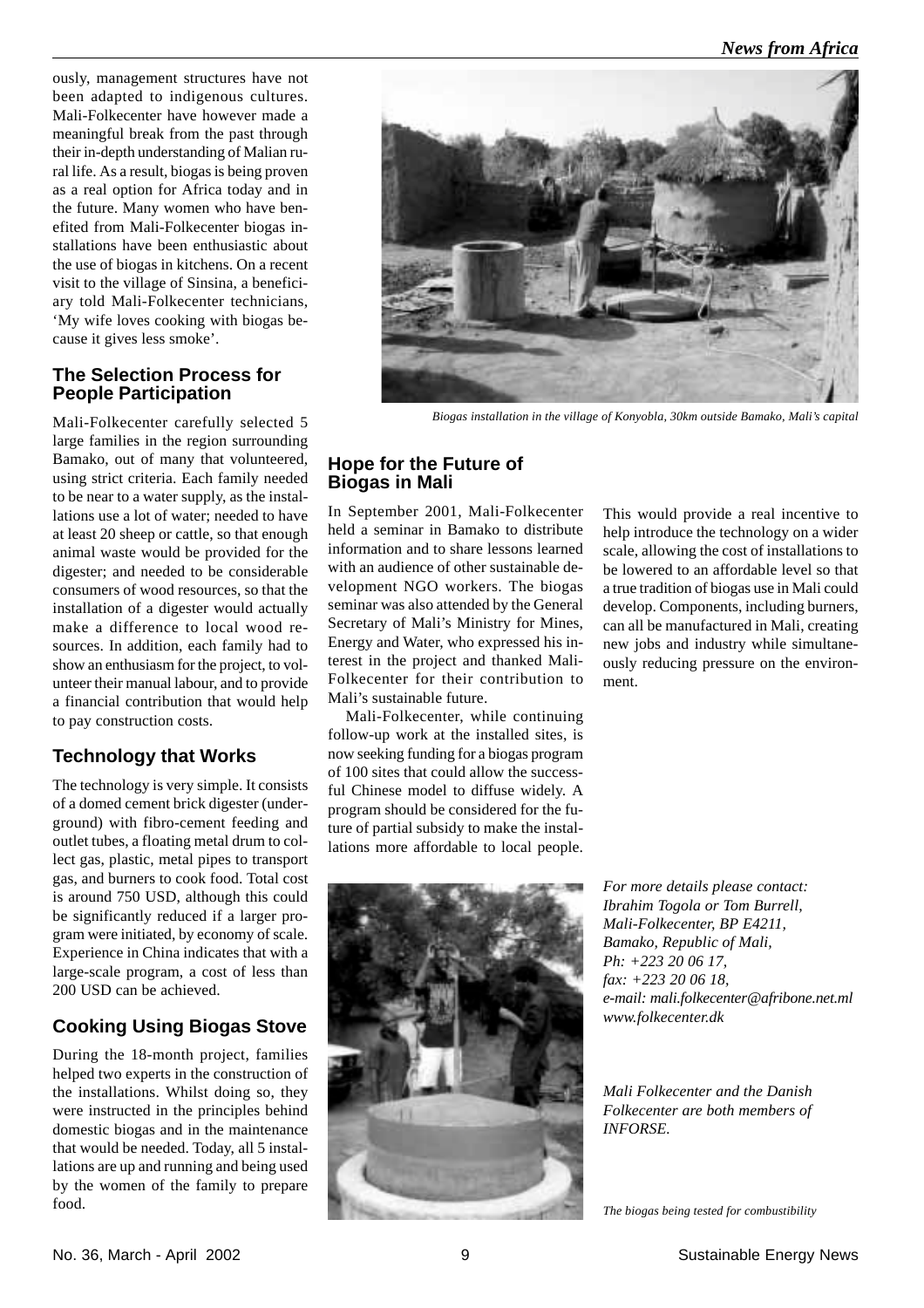ously, management structures have not been adapted to indigenous cultures. Mali-Folkecenter have however made a meaningful break from the past through their in-depth understanding of Malian rural life. As a result, biogas is being proven as a real option for Africa today and in the future. Many women who have benefited from Mali-Folkecenter biogas installations have been enthusiastic about the use of biogas in kitchens. On a recent visit to the village of Sinsina, a beneficiary told Mali-Folkecenter technicians, 'My wife loves cooking with biogas because it gives less smoke'.

#### **The Selection Process for People Participation**

Mali-Folkecenter carefully selected 5 large families in the region surrounding Bamako, out of many that volunteered, using strict criteria. Each family needed to be near to a water supply, as the installations use a lot of water; needed to have at least 20 sheep or cattle, so that enough animal waste would be provided for the digester; and needed to be considerable consumers of wood resources, so that the installation of a digester would actually make a difference to local wood resources. In addition, each family had to show an enthusiasm for the project, to volunteer their manual labour, and to provide a financial contribution that would help to pay construction costs.

#### **Technology that Works**

The technology is very simple. It consists of a domed cement brick digester (underground) with fibro-cement feeding and outlet tubes, a floating metal drum to collect gas, plastic, metal pipes to transport gas, and burners to cook food. Total cost is around 750 USD, although this could be significantly reduced if a larger program were initiated, by economy of scale. Experience in China indicates that with a large-scale program, a cost of less than 200 USD can be achieved.

#### **Cooking Using Biogas Stove**

During the 18-month project, families helped two experts in the construction of the installations. Whilst doing so, they were instructed in the principles behind domestic biogas and in the maintenance that would be needed. Today, all 5 installations are up and running and being used by the women of the family to prepare food.



*Biogas installation in the village of Konyobla, 30km outside Bamako, Mali's capital*

#### **Hope for the Future of Biogas in Mali**

In September 2001, Mali-Folkecenter held a seminar in Bamako to distribute information and to share lessons learned with an audience of other sustainable development NGO workers. The biogas seminar was also attended by the General Secretary of Mali's Ministry for Mines, Energy and Water, who expressed his interest in the project and thanked Mali-Folkecenter for their contribution to Mali's sustainable future.

Mali-Folkecenter, while continuing follow-up work at the installed sites, is now seeking funding for a biogas program of 100 sites that could allow the successful Chinese model to diffuse widely. A program should be considered for the future of partial subsidy to make the installations more affordable to local people.





*For more details please contact: Ibrahim Togola or Tom Burrell, Mali-Folkecenter, BP E4211, Bamako, Republic of Mali, Ph: +223 20 06 17, fax: +223 20 06 18, e-mail: mali.folkecenter@afribone.net.ml www.folkecenter.dk*

*Mali Folkecenter and the Danish Folkecenter are both members of INFORSE.*

*The biogas being tested for combustibility*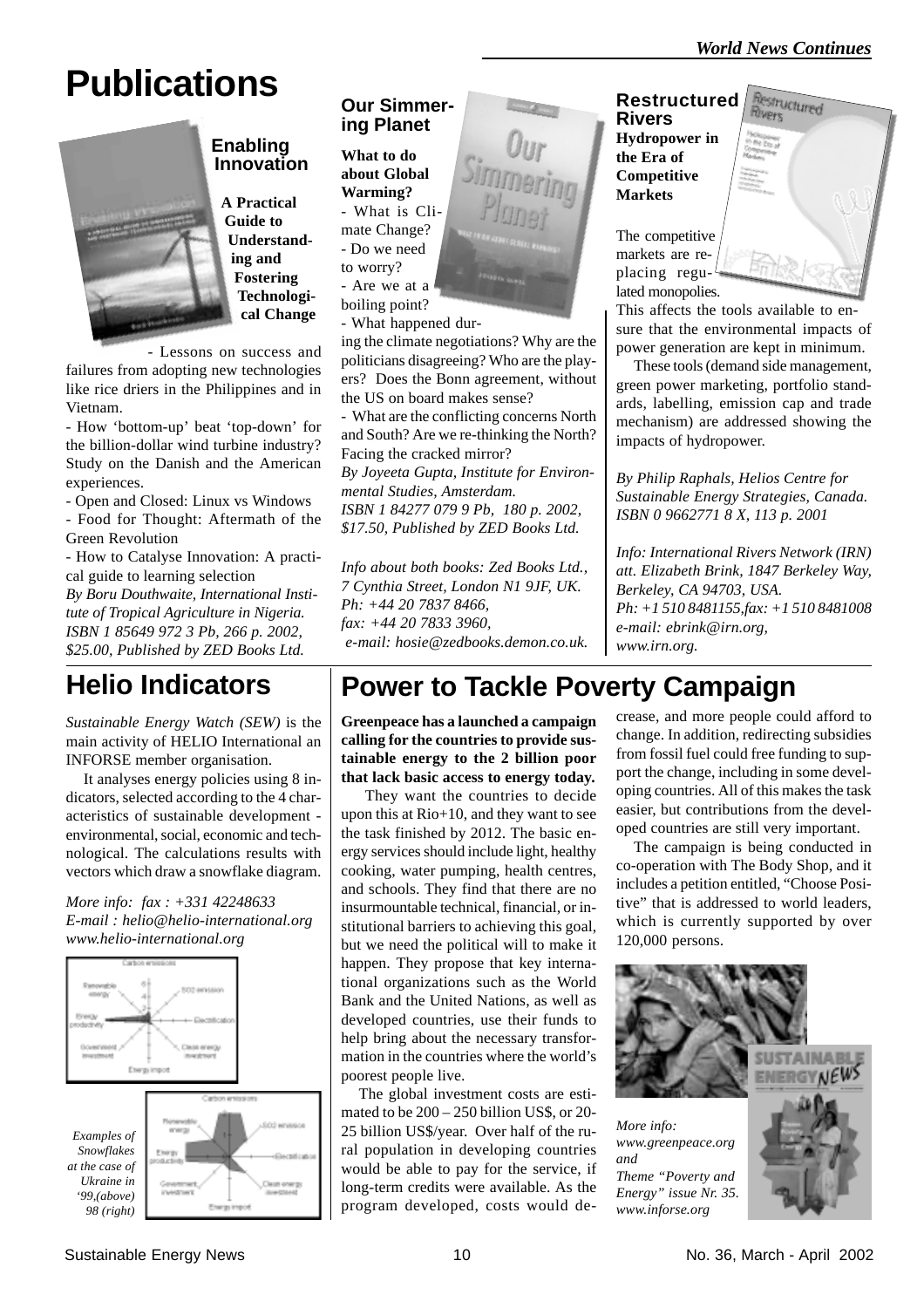**Restructured** 

# **Publications**



#### **Enabling Innovation**

**A Practical Guide to Understanding and Fostering Technological Change**

- Lessons on success and failures from adopting new technologies like rice driers in the Philippines and in Vietnam.

- How 'bottom-up' beat 'top-down' for the billion-dollar wind turbine industry? Study on the Danish and the American experiences.

- Open and Closed: Linux vs Windows - Food for Thought: Aftermath of the Green Revolution

- How to Catalyse Innovation: A practical guide to learning selection

*By Boru Douthwaite, International Institute of Tropical Agriculture in Nigeria. ISBN 1 85649 972 3 Pb, 266 p. 2002, \$25.00, Published by ZED Books Ltd.*

## **Helio Indicators**

*Sustainable Energy Watch (SEW)* is the main activity of HELIO International an INFORSE member organisation.

It analyses energy policies using 8 indicators, selected according to the 4 characteristics of sustainable development environmental, social, economic and technological. The calculations results with vectors which draw a snowflake diagram.

*More info: fax : +331 42248633 E-mail : helio@helio-international.org www.helio-international.org*



#### **Our Simmering Planet**

**What to do about Global Warming?**

- What is Climate Change? - Do we need to worry? - Are we at a

boiling point?

- What happened dur-

ing the climate negotiations? Why are the politicians disagreeing? Who are the players? Does the Bonn agreement, without the US on board makes sense?

- What are the conflicting concerns North and South? Are we re-thinking the North? Facing the cracked mirror? *By Joyeeta Gupta, Institute for Environmental Studies, Amsterdam. ISBN 1 84277 079 9 Pb, 180 p. 2002, \$17.50, Published by ZED Books Ltd.*

*Info about both books: Zed Books Ltd., 7 Cynthia Street, London N1 9JF, UK. Ph: +44 20 7837 8466, fax: +44 20 7833 3960, e-mail: hosie@zedbooks.demon.co.uk.*

#### **Restructured Rivers Hydropower in the Era of Competitive Markets**

The competitive markets are replacing regulated monopolies.

This affects the tools available to ensure that the environmental impacts of power generation are kept in minimum.

These tools (demand side management, green power marketing, portfolio standards, labelling, emission cap and trade mechanism) are addressed showing the impacts of hydropower.

*By Philip Raphals, Helios Centre for Sustainable Energy Strategies, Canada. ISBN 0 9662771 8 X, 113 p. 2001*

*Info: International Rivers Network (IRN) att. Elizabeth Brink, 1847 Berkeley Way, Berkeley, CA 94703, USA. Ph: +1 510 8481155,fax: +1 510 8481008 e-mail: ebrink@irn.org, www.irn.org.*

## **Power to Tackle Poverty Campaign**

**Greenpeace has a launched a campaign calling for the countries to provide sustainable energy to the 2 billion poor that lack basic access to energy today.**

 They want the countries to decide upon this at Rio+10, and they want to see the task finished by 2012. The basic energy services should include light, healthy cooking, water pumping, health centres, and schools. They find that there are no insurmountable technical, financial, or institutional barriers to achieving this goal, but we need the political will to make it happen. They propose that key international organizations such as the World Bank and the United Nations, as well as developed countries, use their funds to help bring about the necessary transformation in the countries where the world's poorest people live.

The global investment costs are estimated to be 200 – 250 billion US\$, or 20- 25 billion US\$/year. Over half of the rural population in developing countries would be able to pay for the service, if long-term credits were available. As the program developed, costs would decrease, and more people could afford to change. In addition, redirecting subsidies from fossil fuel could free funding to support the change, including in some developing countries. All of this makes the task easier, but contributions from the developed countries are still very important.

The campaign is being conducted in co-operation with The Body Shop, and it includes a petition entitled, "Choose Positive" that is addressed to world leaders, which is currently supported by over 120,000 persons.

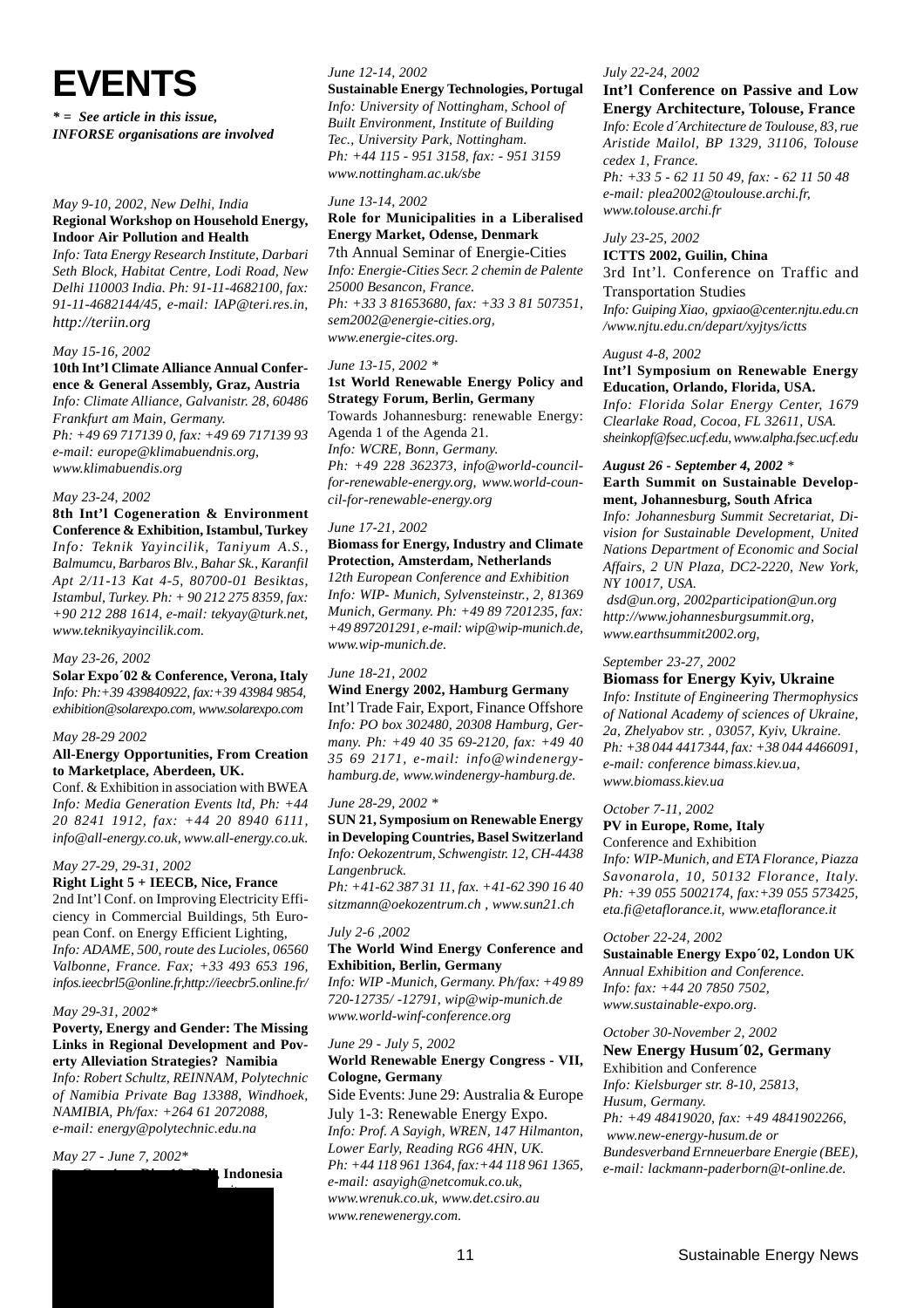**EVENTS**

*\* = See article in this issue, INFORSE organisations are involved*

#### *May 9-10, 2002, New Delhi, India* **Regional Workshop on Household Energy, Indoor Air Pollution and Health**

*Info: Tata Energy Research Institute, Darbari Seth Block, Habitat Centre, Lodi Road, New Delhi 110003 India. Ph: 91-11-4682100, fax: 91-11-4682144/45, e-mail: IAP@teri.res.in, http://teriin.org*

#### *May 15-16, 2002*

#### **10th Int'l Climate Alliance Annual Conference & General Assembly, Graz, Austria** *Info: Climate Alliance, Galvanistr. 28, 60486*

*Frankfurt am Main, Germany. Ph: +49 69 717139 0, fax: +49 69 717139 93 e-mail: europe@klimabuendnis.org, www.klimabuendis.org*

#### *May 23-24, 2002*

**8th Int'l Cogeneration & Environment Conference & Exhibition, Istambul, Turkey** *Info: Teknik Yayincilik, Taniyum A.S., Balmumcu, Barbaros Blv., Bahar Sk., Karanfil Apt 2/11-13 Kat 4-5, 80700-01 Besiktas, Istambul, Turkey. Ph: + 90 212 275 8359, fax: +90 212 288 1614, e-mail: tekyay@turk.net, www.teknikyayincilik.com.*

#### *May 23-26, 2002*

**Solar Expo´02 & Conference, Verona, Italy** *Info: Ph:+39 439840922, fax:+39 43984 9854, exhibition@solarexpo.com, www.solarexpo.com*

#### *May 28-29 2002*

#### **All-Energy Opportunities, From Creation to Marketplace, Aberdeen, UK.**

Conf. & Exhibition in association with BWEA *Info: Media Generation Events ltd, Ph: +44 20 8241 1912, fax: +44 20 8940 6111, info@all-energy.co.uk, www.all-energy.co.uk.*

#### *May 27-29, 29-31, 2002*

**Right Light 5 + IEECB, Nice, France** 2nd Int'l Conf. on Improving Electricity Efficiency in Commercial Buildings, 5th European Conf. on Energy Efficient Lighting, *Info: ADAME, 500, route des Lucioles, 06560 Valbonne, France. Fax; +33 493 653 196, infos.ieecbrl5@online.fr,http://ieecbr5.online.fr/*

#### *May 29-31, 2002\**

**Poverty, Energy and Gender: The Missing Links in Regional Development and Poverty Alleviation Strategies? Namibia**

*Info: Robert Schultz, REINNAM, Polytechnic of Namibia Private Bag 13388, Windhoek, NAMIBIA, Ph/fax: +264 61 2072088, e-mail: energy@polytechnic.edu.na*

*http://www.johannesburgsummit.org,*

#### *May 27 - June 7, 2002\**

**PrepAdd** Indonesia

#### *June 12-14, 2002*

#### **Sustainable Energy Technologies, Portugal**

*Info: University of Nottingham, School of Built Environment, Institute of Building Tec., University Park, Nottingham. Ph: +44 115 - 951 3158, fax: - 951 3159 www.nottingham.ac.uk/sbe*

#### *June 13-14, 2002*

#### **Role for Municipalities in a Liberalised Energy Market, Odense, Denmark** 7th Annual Seminar of Energie-Cities

*Info: Energie-Cities Secr. 2 chemin de Palente 25000 Besancon, France. Ph: +33 3 81653680, fax: +33 3 81 507351, sem2002@energie-cities.org, www.energie-cites.org.*

#### *June 13-15, 2002 \**

#### **1st World Renewable Energy Policy and Strategy Forum, Berlin, Germany** Towards Johannesburg: renewable Energy:

Agenda 1 of the Agenda 21. *Info: WCRE, Bonn, Germany. Ph: +49 228 362373, info@world-councilfor-renewable-energy.org, www.world-council-for-renewable-energy.org*

#### *June 17-21, 2002*

#### **Biomass for Energy, Industry and Climate Protection, Amsterdam, Netherlands**

*12th European Conference and Exhibition Info: WIP- Munich, Sylvensteinstr., 2, 81369 Munich, Germany. Ph: +49 89 7201235, fax: +49 897201291, e-mail: wip@wip-munich.de, www.wip-munich.de.*

#### *June 18-21, 2002*

#### **Wind Energy 2002, Hamburg Germany**

Int'l Trade Fair, Export, Finance Offshore *Info: PO box 302480, 20308 Hamburg, Germany. Ph: +49 40 35 69-2120, fax: +49 40 35 69 2171, e-mail: info@windenergyhamburg.de, www.windenergy-hamburg.de.*

#### *June 28-29, 2002 \**

**SUN 21, Symposium on Renewable Energy in Developing Countries, Basel Switzerland** *Info: Oekozentrum, Schwengistr. 12, CH-4438 Langenbruck. Ph: +41-62 387 31 11, fax. +41-62 390 16 40*

*sitzmann@oekozentrum.ch , www.sun21.ch*

#### *July 2-6 ,2002*

#### **The World Wind Energy Conference and Exhibition, Berlin, Germany**

*Info: WIP -Munich, Germany. Ph/fax: +49 89 720-12735/ -12791, wip@wip-munich.de www.world-winf-conference.org*

#### *June 29 - July 5, 2002* **World Renewable Energy Congress - VII, Cologne, Germany**

Side Events: June 29: Australia & Europe July 1-3: Renewable Energy Expo. *Info: Prof. A Sayigh, WREN, 147 Hilmanton, Lower Early, Reading RG6 4HN, UK. Ph: +44 118 961 1364, fax:+44 118 961 1365, e-mail: asayigh@netcomuk.co.uk, www.wrenuk.co.uk, www.det.csiro.au www.renewenergy.com.*

#### *July 22-24, 2002*

#### **Int'l Conference on Passive and Low Energy Architecture, Tolouse, France**

*Info: Ecole d´Architecture de Toulouse, 83, rue Aristide Mailol, BP 1329, 31106, Tolouse cedex 1, France. Ph: +33 5 - 62 11 50 49, fax: - 62 11 50 48*

*e-mail: plea2002@toulouse.archi.fr, www.tolouse.archi.fr*

#### *July 23-25, 2002*

#### **ICTTS 2002, Guilin, China**

3rd Int'l. Conference on Traffic and Transportation Studies *Info: Guiping Xiao, gpxiao@center.njtu.edu.cn /www.njtu.edu.cn/depart/xyjtys/ictts*

#### *August 4-8, 2002*

#### **Int'l Symposium on Renewable Energy Education, Orlando, Florida, USA.**

*Info: Florida Solar Energy Center, 1679 Clearlake Road, Cocoa, FL 32611, USA. sheinkopf@fsec.ucf.edu, www.alpha.fsec.ucf.edu*

#### *August 26 - September 4, 2002 \** **Earth Summit on Sustainable Development, Johannesburg, South Africa**

*Info: Johannesburg Summit Secretariat, Division for Sustainable Development, United Nations Department of Economic and Social Affairs, 2 UN Plaza, DC2-2220, New York, NY 10017, USA.*

 *dsd@un.org, 2002participation@un.org http://www.johannesburgsummit.org, www.earthsummit2002.org,*

*September 23-27, 2002*

#### **Biomass for Energy Kyiv, Ukraine**

*Info: Institute of Engineering Thermophysics of National Academy of sciences of Ukraine, 2a, Zhelyabov str. , 03057, Kyiv, Ukraine. Ph: +38 044 4417344, fax: +38 044 4466091, e-mail: conference bimass.kiev.ua, www.biomass.kiev.ua*

#### *October 7-11, 2002* **PV in Europe, Rome, Italy**

Conference and Exhibition *Info: WIP-Munich, and ETA Florance, Piazza Savonarola, 10, 50132 Florance, Italy. Ph: +39 055 5002174, fax:+39 055 573425, eta.fi@etaflorance.it, www.etaflorance.it*

#### *October 22-24, 2002*

**Sustainable Energy Expo´02, London UK** *Annual Exhibition and Conference. Info: fax: +44 20 7850 7502, www.sustainable-expo.org.*

#### *October 30-November 2, 2002*

**New Energy Husum´02, Germany** Exhibition and Conference *Info: Kielsburger str. 8-10, 25813, Husum, Germany.*

*Ph: +49 48419020, fax: +49 4841902266, www.new-energy-husum.de or*

*Bundesverband Ernneuerbare Energie (BEE), e-mail: lackmann-paderborn@t-online.de.*